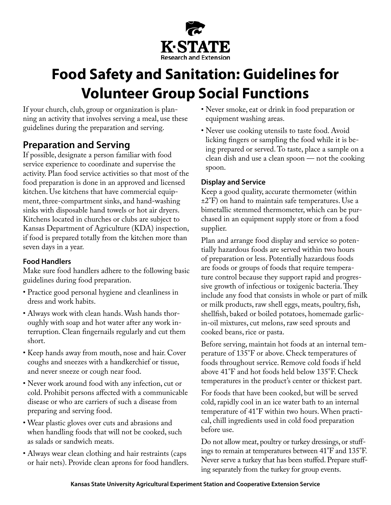

# **Food Safety and Sanitation: Guidelines for Volunteer Group Social Functions**

If your church, club, group or organization is planning an activity that involves serving a meal, use these guidelines during the preparation and serving.

# **Preparation and Serving**

If possible, designate a person familiar with food service experience to coordinate and supervise the activity. Plan food service activities so that most of the food preparation is done in an approved and licensed kitchen. Use kitchens that have commercial equipment, three-compartment sinks, and hand-washing sinks with disposable hand towels or hot air dryers. Kitchens located in churches or clubs are subject to Kansas Department of Agriculture (KDA) inspection, if food is prepared totally from the kitchen more than seven days in a year.

### **Food Handlers**

Make sure food handlers adhere to the following basic guidelines during food preparation.

- Practice good personal hygiene and cleanliness in dress and work habits.
- Always work with clean hands. Wash hands thoroughly with soap and hot water after any work interruption. Clean fingernails regularly and cut them short.
- Keep hands away from mouth, nose and hair. Cover coughs and sneezes with a handkerchief or tissue, and never sneeze or cough near food.
- Never work around food with any infection, cut or cold. Prohibit persons affected with a communicable disease or who are carriers of such a disease from preparing and serving food.
- Wear plastic gloves over cuts and abrasions and when handling foods that will not be cooked, such as salads or sandwich meats.
- Always wear clean clothing and hair restraints (caps or hair nets). Provide clean aprons for food handlers.
- Never smoke, eat or drink in food preparation or equipment washing areas.
- Never use cooking utensils to taste food. Avoid licking fingers or sampling the food while it is being prepared or served. To taste, place a sample on a clean dish and use a clean spoon — not the cooking spoon.

#### **Display and Service**

Keep a good quality, accurate thermometer (within  $\pm 2$ °F) on hand to maintain safe temperatures. Use a bimetallic stemmed thermometer, which can be purchased in an equipment supply store or from a food supplier.

Plan and arrange food display and service so potentially hazardous foods are served within two hours of preparation or less. Potentially hazardous foods are foods or groups of foods that require temperature control because they support rapid and progressive growth of infectious or toxigenic bacteria. They include any food that consists in whole or part of milk or milk products, raw shell eggs, meats, poultry, fish, shellfish, baked or boiled potatoes, homemade garlicin-oil mixtures, cut melons, raw seed sprouts and cooked beans, rice or pasta.

Before serving, maintain hot foods at an internal temperature of 135°F or above. Check temperatures of foods throughout service. Remove cold foods if held above 41°F and hot foods held below 135°F. Check temperatures in the product's center or thickest part.

For foods that have been cooked, but will be served cold, rapidly cool in an ice water bath to an internal temperature of 41°F within two hours. When practical, chill ingredients used in cold food preparation before use.

Do not allow meat, poultry or turkey dressings, or stuffings to remain at temperatures between 41°F and 135°F. Never serve a turkey that has been stuffed. Prepare stuffing separately from the turkey for group events.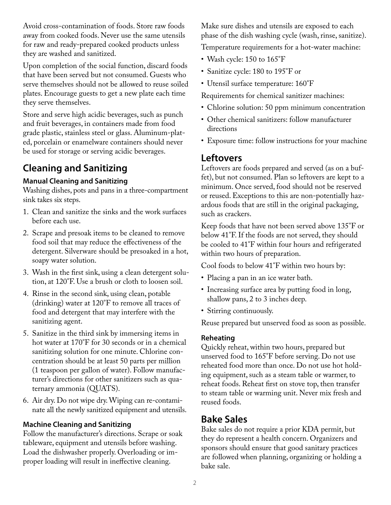Avoid cross-contamination of foods. Store raw foods away from cooked foods. Never use the same utensils for raw and ready-prepared cooked products unless they are washed and sanitized.

Upon completion of the social function, discard foods that have been served but not consumed. Guests who serve themselves should not be allowed to reuse soiled plates. Encourage guests to get a new plate each time they serve themselves.

Store and serve high acidic beverages, such as punch and fruit beverages, in containers made from food grade plastic, stainless steel or glass. Aluminum-plated, porcelain or enamelware containers should never be used for storage or serving acidic beverages.

# **Cleaning and Sanitizing**

### **Manual Cleaning and Sanitizing**

Washing dishes, pots and pans in a three-compartment sink takes six steps.

- 1. Clean and sanitize the sinks and the work surfaces before each use.
- 2. Scrape and presoak items to be cleaned to remove food soil that may reduce the effectiveness of the detergent. Silverware should be presoaked in a hot, soapy water solution.
- 3. Wash in the first sink, using a clean detergent solution, at 120°F. Use a brush or cloth to loosen soil.
- 4. Rinse in the second sink, using clean, potable (drinking) water at 120°F to remove all traces of food and detergent that may interfere with the sanitizing agent.
- 5. Sanitize in the third sink by immersing items in hot water at 170°F for 30 seconds or in a chemical sanitizing solution for one minute. Chlorine concentration should be at least 50 parts per million (1 teaspoon per gallon of water). Follow manufacturer's directions for other sanitizers such as quaternary ammonia (QUATS).
- 6. Air dry. Do not wipe dry. Wiping can re-contaminate all the newly sanitized equipment and utensils.

### **Machine Cleaning and Sanitizing**

Follow the manufacturer's directions. Scrape or soak tableware, equipment and utensils before washing. Load the dishwasher properly. Overloading or improper loading will result in ineffective cleaning.

Make sure dishes and utensils are exposed to each phase of the dish washing cycle (wash, rinse, sanitize).

Temperature requirements for a hot-water machine:

- Wash cycle: 150 to 165°F
- Sanitize cycle: 180 to 195°F or
- Utensil surface temperature: 160°F

Requirements for chemical sanitizer machines:

- Chlorine solution: 50 ppm minimum concentration
- Other chemical sanitizers: follow manufacturer directions
- Exposure time: follow instructions for your machine

# **Leftovers**

Leftovers are foods prepared and served (as on a buffet), but not consumed. Plan so leftovers are kept to a minimum. Once served, food should not be reserved or reused. Exceptions to this are non-potentially hazardous foods that are still in the original packaging, such as crackers.

Keep foods that have not been served above 135°F or below 41°F. If the foods are not served, they should be cooled to 41°F within four hours and refrigerated within two hours of preparation.

Cool foods to below 41°F within two hours by:

- Placing a pan in an ice water bath.
- Increasing surface area by putting food in long, shallow pans, 2 to 3 inches deep.
- Stirring continuously.

Reuse prepared but unserved food as soon as possible.

### **Reheating**

Quickly reheat, within two hours, prepared but unserved food to 165°F before serving. Do not use reheated food more than once. Do not use hot holding equipment, such as a steam table or warmer, to reheat foods. Reheat first on stove top, then transfer to steam table or warming unit. Never mix fresh and reused foods.

# **Bake Sales**

Bake sales do not require a prior KDA permit, but they do represent a health concern. Organizers and sponsors should ensure that good sanitary practices are followed when planning, organizing or holding a bake sale.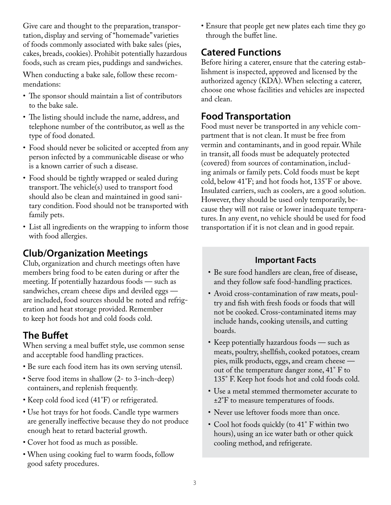Give care and thought to the preparation, transportation, display and serving of "homemade" varieties of foods commonly associated with bake sales (pies, cakes, breads, cookies). Prohibit potentially hazardous foods, such as cream pies, puddings and sandwiches.

When conducting a bake sale, follow these recommendations:

- The sponsor should maintain a list of contributors to the bake sale.
- The listing should include the name, address, and telephone number of the contributor, as well as the type of food donated.
- Food should never be solicited or accepted from any person infected by a communicable disease or who is a known carrier of such a disease.
- Food should be tightly wrapped or sealed during transport. The vehicle(s) used to transport food should also be clean and maintained in good sanitary condition. Food should not be transported with family pets.
- List all ingredients on the wrapping to inform those with food allergies.

# **Club/Organization Meetings**

Club, organization and church meetings often have members bring food to be eaten during or after the meeting. If potentially hazardous foods — such as sandwiches, cream cheese dips and deviled eggs are included, food sources should be noted and refrigeration and heat storage provided. Remember to keep hot foods hot and cold foods cold.

# **The Buffet**

When serving a meal buffet style, use common sense and acceptable food handling practices.

- Be sure each food item has its own serving utensil.
- Serve food items in shallow (2- to 3-inch-deep) containers, and replenish frequently.
- Keep cold food iced (41°F) or refrigerated.
- Use hot trays for hot foods. Candle type warmers are generally ineffective because they do not produce enough heat to retard bacterial growth.
- Cover hot food as much as possible.
- When using cooking fuel to warm foods, follow good safety procedures.

• Ensure that people get new plates each time they go through the buffet line.

# **Catered Functions**

Before hiring a caterer, ensure that the catering establishment is inspected, approved and licensed by the authorized agency (KDA). When selecting a caterer, choose one whose facilities and vehicles are inspected and clean.

# **Food Transportation**

Food must never be transported in any vehicle compartment that is not clean. It must be free from vermin and contaminants, and in good repair. While in transit, all foods must be adequately protected (covered) from sources of contamination, including animals or family pets. Cold foods must be kept cold, below 41°F; and hot foods hot, 135°F or above. Insulated carriers, such as coolers, are a good solution. However, they should be used only temporarily, because they will not raise or lower inadequate temperatures. In any event, no vehicle should be used for food transportation if it is not clean and in good repair.

# **Important Facts**

- Be sure food handlers are clean, free of disease, and they follow safe food-handling practices.
- Avoid cross-contamination of raw meats, poultry and fish with fresh foods or foods that will not be cooked. Cross-contaminated items may include hands, cooking utensils, and cutting boards.
- Keep potentially hazardous foods such as meats, poultry, shellfish, cooked potatoes, cream pies, milk products, eggs, and cream cheese out of the temperature danger zone, 41° F to 135° F. Keep hot foods hot and cold foods cold.
- Use a metal stemmed thermometer accurate to ±2°F to measure temperatures of foods.
- Never use leftover foods more than once.
- Cool hot foods quickly (to 41° F within two hours), using an ice water bath or other quick cooling method, and refrigerate.